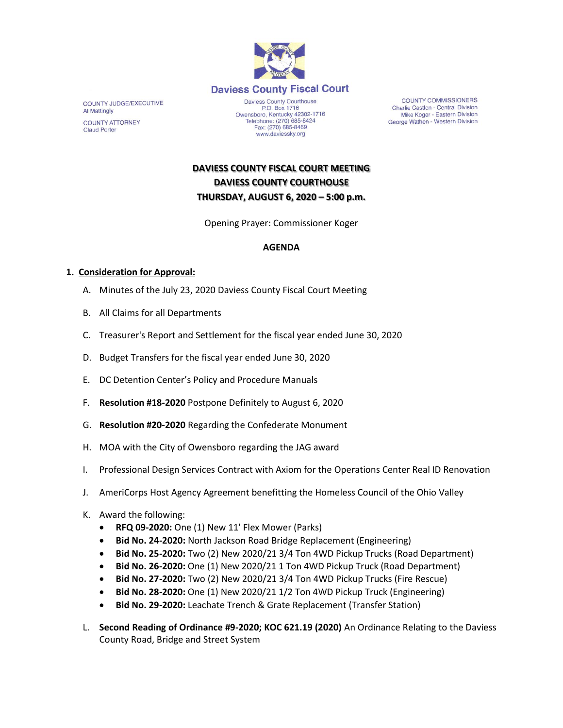

**COUNTY JUDGE/EXECUTIVE Al Mattingly COUNTY ATTORNEY Claud Porter** 

P.O. Box 1716 Owensboro, Kentucky 42302-1716 Telephone: (270) 685-8424 Fax: (270) 685-8469 www.daviessky.org

**COUNTY COMMISSIONERS** Charlie Castlen - Central Division Mike Koger - Eastern Division George Wathen - Western Division

**DAVIESS COUNTY FISCAL COURT MEETING DAVIESS COUNTY COURTHOUSE THURSDAY, AUGUST 6, 2020 – 5:00 p.m.** 

Opening Prayer: Commissioner Koger

## **AGENDA**

## **1. Consideration for Approval:**

- A. Minutes of the July 23, 2020 Daviess County Fiscal Court Meeting
- B. All Claims for all Departments
- C. Treasurer's Report and Settlement for the fiscal year ended June 30, 2020
- D. Budget Transfers for the fiscal year ended June 30, 2020
- E. DC Detention Center's Policy and Procedure Manuals
- F. **Resolution #18-2020** Postpone Definitely to August 6, 2020
- G. **Resolution #20-2020** Regarding the Confederate Monument
- H. MOA with the City of Owensboro regarding the JAG award
- I. Professional Design Services Contract with Axiom for the Operations Center Real ID Renovation
- J. AmeriCorps Host Agency Agreement benefitting the Homeless Council of the Ohio Valley
- K. Award the following:
	- **RFQ 09-2020:** One (1) New 11' Flex Mower (Parks)
	- **Bid No. 24-2020:** North Jackson Road Bridge Replacement (Engineering)
	- **Bid No. 25-2020:** Two (2) New 2020/21 3/4 Ton 4WD Pickup Trucks (Road Department)
	- **Bid No. 26-2020:** One (1) New 2020/21 1 Ton 4WD Pickup Truck (Road Department)
	- **Bid No. 27-2020:** Two (2) New 2020/21 3/4 Ton 4WD Pickup Trucks (Fire Rescue)
	- **Bid No. 28-2020:** One (1) New 2020/21 1/2 Ton 4WD Pickup Truck (Engineering)
	- **Bid No. 29-2020:** Leachate Trench & Grate Replacement (Transfer Station)
- L. **Second Reading of Ordinance #9-2020; KOC 621.19 (2020)** An Ordinance Relating to the Daviess County Road, Bridge and Street System